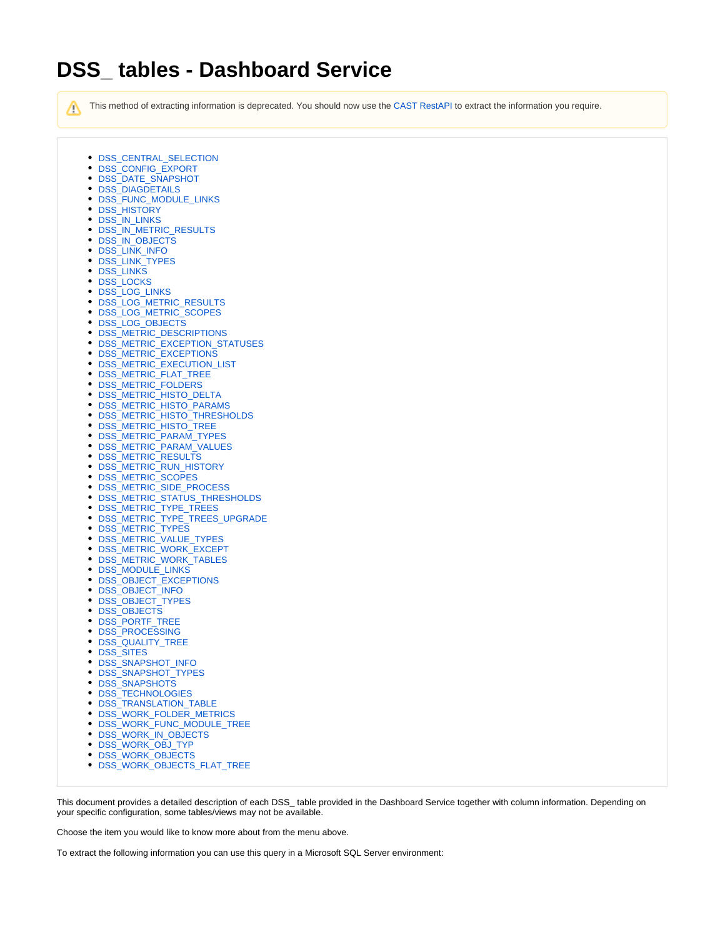# **DSS\_ tables - Dashboard Service**

This method of extracting information is deprecated. You should now use the [CAST RestAPI](https://doc.castsoftware.com/display/DOC82/REST+API+Reference+Documentation) to extract the information you require.

- [DSS\\_CENTRAL\\_SELECTION](#page-1-0)
- [DSS\\_CONFIG\\_EXPORT](#page-1-1)
- [DSS\\_DATE\\_SNAPSHOT](#page-1-2)
- [DSS\\_DIAGDETAILS](#page-1-3)
- [DSS\\_FUNC\\_MODULE\\_LINKS](#page-1-4)
- [DSS\\_HISTORY](#page-2-0)
- [DSS\\_IN\\_LINKS](#page-2-1)
- [DSS\\_IN\\_METRIC\\_RESULTS](#page-2-2)
- [DSS\\_IN\\_OBJECTS](#page-2-3)
- [DSS\\_LINK\\_INFO](#page-3-0)
- [DSS\\_LINK\\_TYPES](#page-3-1)
- [DSS\\_LINKS](#page-3-2)
- **DSS LOCKS**
- [DSS\\_LOG\\_LINKS](#page-3-4)
- [DSS\\_LOG\\_METRIC\\_RESULTS](#page-3-5)
- [DSS\\_LOG\\_METRIC\\_SCOPES](#page-4-0)
- [DSS\\_LOG\\_OBJECTS](#page-4-1)
- [DSS\\_METRIC\\_DESCRIPTIONS](#page-4-2)
- [DSS\\_METRIC\\_EXCEPTION\\_STATUSES](#page-5-0)
- [DSS\\_METRIC\\_EXCEPTIONS](#page-5-1)
- [DSS\\_METRIC\\_EXECUTION\\_LIST](#page-5-2)
- [DSS\\_METRIC\\_FLAT\\_TREE](#page-5-3)
- [DSS\\_METRIC\\_FOLDERS](#page-6-0)
- [DSS\\_METRIC\\_HISTO\\_DELTA](#page-6-1)
- [DSS\\_METRIC\\_HISTO\\_PARAMS](#page-6-2)
- [DSS\\_METRIC\\_HISTO\\_THRESHOLDS](#page-6-3)
- [DSS\\_METRIC\\_HISTO\\_TREE](#page-6-4)
- [DSS\\_METRIC\\_PARAM\\_TYPES](#page-7-0)
- [DSS\\_METRIC\\_PARAM\\_VALUES](#page-7-1)
- [DSS\\_METRIC\\_RESULTS](#page-7-2)
- [DSS\\_METRIC\\_RUN\\_HISTORY](#page-7-3)
- [DSS\\_METRIC\\_SCOPES](#page-8-0)
- [DSS\\_METRIC\\_SIDE\\_PROCESS](#page-8-1)
- [DSS\\_METRIC\\_STATUS\\_THRESHOLDS](#page-8-2)
- [DSS\\_METRIC\\_TYPE\\_TREES](#page-8-3)
- [DSS\\_METRIC\\_TYPE\\_TREES\\_UPGRADE](#page-8-4)
- [DSS\\_METRIC\\_TYPES](#page-9-0)
- [DSS\\_METRIC\\_VALUE\\_TYPES](#page-9-1)
- [DSS\\_METRIC\\_WORK\\_EXCEPT](#page-10-0)
- [DSS\\_METRIC\\_WORK\\_TABLES](#page-10-1)
- [DSS\\_MODULE\\_LINKS](#page-10-2)
- [DSS\\_OBJECT\\_EXCEPTIONS](#page-10-3)
- [DSS\\_OBJECT\\_INFO](#page-10-4)
- [DSS\\_OBJECT\\_TYPES](#page-11-0)
- [DSS\\_OBJECTS](#page-11-1)
- [DSS\\_PORTF\\_TREE](#page-11-2)
- [DSS\\_PROCESSING](#page-11-3)
- [DSS\\_QUALITY\\_TREE](#page-11-4)
- 
- [DSS\\_SITES](#page-12-0)
- [DSS\\_SNAPSHOT\\_INFO](#page-12-1)
- [DSS\\_SNAPSHOT\\_TYPES](#page-12-2)
- [DSS\\_SNAPSHOTS](#page-12-3)
- **DSS TECHNOLOGIES**
- [DSS\\_TRANSLATION\\_TABLE](#page-13-1)
- [DSS\\_WORK\\_FOLDER\\_METRICS](#page-13-2)
- [DSS\\_WORK\\_FUNC\\_MODULE\\_TREE](#page-13-3)
- [DSS\\_WORK\\_IN\\_OBJECTS](#page-13-4)
- 
- [DSS\\_WORK\\_OBJ\\_TYP](#page-14-0)
- [DSS\\_WORK\\_OBJECTS](#page-14-1)
- [DSS\\_WORK\\_OBJECTS\\_FLAT\\_TREE](#page-14-2)

This document provides a detailed description of each DSS\_ table provided in the Dashboard Service together with column information. Depending on your specific configuration, some tables/views may not be available.

Choose the item you would like to know more about from the menu above.

To extract the following information you can use this query in a Microsoft SQL Server environment:

Λ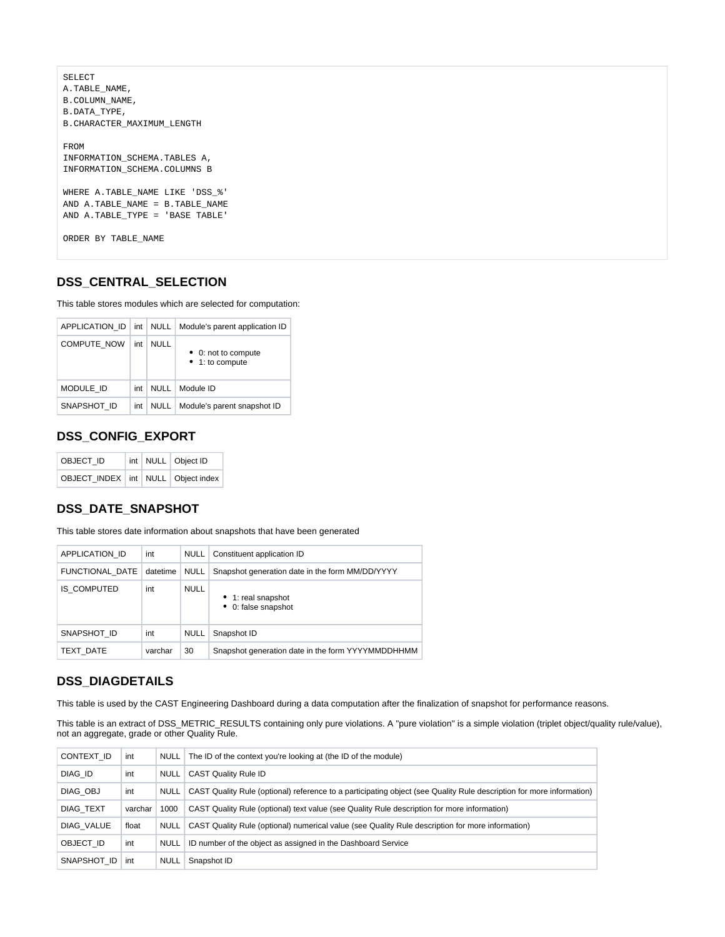```
SELECT
A.TABLE_NAME,
B.COLUMN_NAME,
B.DATA_TYPE,
B.CHARACTER_MAXIMUM_LENGTH
FROM
INFORMATION_SCHEMA.TABLES A,
INFORMATION_SCHEMA.COLUMNS B
WHERE A.TABLE_NAME LIKE 'DSS_%'
AND A.TABLE NAME = B.TABLE NAME
AND A.TABLE_TYPE = 'BASE TABLE'
ORDER BY TABLE_NAME
```
#### <span id="page-1-0"></span>**DSS\_CENTRAL\_SELECTION**

This table stores modules which are selected for computation:

| APPLICATION ID     | int | NULL        | Module's parent application ID       |
|--------------------|-----|-------------|--------------------------------------|
| <b>COMPUTE NOW</b> | int | NULL        | 0: not to compute<br>• 1: to compute |
| MODULE ID          | int | NULL        | Module ID                            |
| SNAPSHOT ID        | int | <b>NULL</b> | Module's parent snapshot ID          |

#### <span id="page-1-1"></span>**DSS\_CONFIG\_EXPORT**

| OBJECT ID                                |  | int   NULL   Object ID |  |
|------------------------------------------|--|------------------------|--|
| OBJECT INDEX   int   NULL   Object index |  |                        |  |

### <span id="page-1-2"></span>**DSS\_DATE\_SNAPSHOT**

This table stores date information about snapshots that have been generated

| APPLICATION ID     | int      | <b>NULL</b> | Constituent application ID                        |
|--------------------|----------|-------------|---------------------------------------------------|
| FUNCTIONAL_DATE    | datetime | <b>NULL</b> | Snapshot generation date in the form MM/DD/YYYY   |
| <b>IS COMPUTED</b> | int      | <b>NULL</b> | • 1: real snapshot<br>• 0: false snapshot         |
| SNAPSHOT ID        | int      | <b>NULL</b> | Snapshot ID                                       |
| TEXT DATE          | varchar  | 30          | Snapshot generation date in the form YYYYMMDDHHMM |

#### <span id="page-1-3"></span>**DSS\_DIAGDETAILS**

This table is used by the CAST Engineering Dashboard during a data computation after the finalization of snapshot for performance reasons.

This table is an extract of DSS\_METRIC\_RESULTS containing only pure violations. A "pure violation" is a simple violation (triplet object/quality rule/value), not an aggregate, grade or other Quality Rule.

<span id="page-1-4"></span>

| CONTEXT ID       | int     | NULL        | The ID of the context you're looking at (the ID of the module)                                                       |
|------------------|---------|-------------|----------------------------------------------------------------------------------------------------------------------|
| DIAG ID          | int     | <b>NULL</b> | <b>CAST Quality Rule ID</b>                                                                                          |
| DIAG OBJ         | int     | <b>NULL</b> | CAST Quality Rule (optional) reference to a participating object (see Quality Rule description for more information) |
| <b>DIAG TEXT</b> | varchar | 1000        | CAST Quality Rule (optional) text value (see Quality Rule description for more information)                          |
| DIAG VALUE       | float   | NULL        | CAST Quality Rule (optional) numerical value (see Quality Rule description for more information)                     |
| OBJECT ID        | int     | NULL        | ID number of the object as assigned in the Dashboard Service                                                         |
| SNAPSHOT ID      | int     | <b>NULL</b> | Snapshot ID                                                                                                          |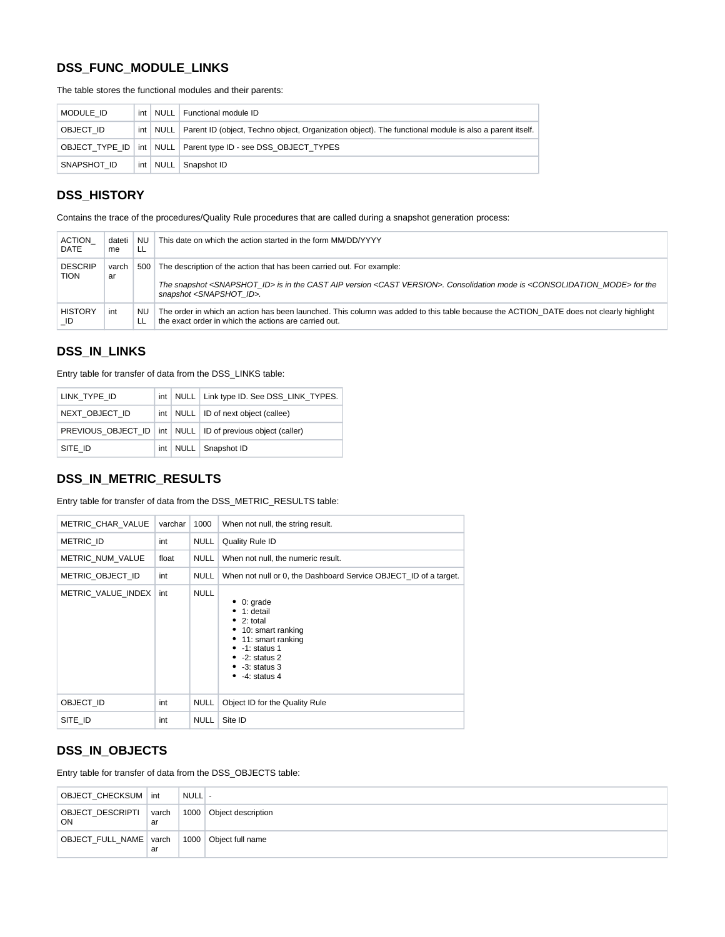# **DSS\_FUNC\_MODULE\_LINKS**

The table stores the functional modules and their parents:

| MODULE ID   |  | int   NULL   Functional module ID                                                                                   |
|-------------|--|---------------------------------------------------------------------------------------------------------------------|
| OBJECT ID   |  | int   NULL   Parent ID (object, Techno object, Organization object). The functional module is also a parent itself. |
|             |  | OBJECT TYPE ID   int   NULL   Parent type ID - see DSS OBJECT TYPES                                                 |
| SNAPSHOT ID |  | int   NULL   Snapshot ID                                                                                            |

### <span id="page-2-0"></span>**DSS\_HISTORY**

Contains the trace of the procedures/Quality Rule procedures that are called during a snapshot generation process:

| <b>ACTION</b>                 | dateti      | NU.       | This date on which the action started in the form MM/DD/YYYY                                                                                                                                                                                                                           |
|-------------------------------|-------------|-----------|----------------------------------------------------------------------------------------------------------------------------------------------------------------------------------------------------------------------------------------------------------------------------------------|
| DATE                          | me          | 'LL       |                                                                                                                                                                                                                                                                                        |
| <b>DESCRIP</b><br><b>TION</b> | varch<br>ar | 500       | The description of the action that has been carried out. For example:<br>The snapshot <snapshot id=""> is in the CAST AIP version <cast version="">. Consolidation mode is <consolidation mode=""> for the<br/>snapshot <snapshot id="">.</snapshot></consolidation></cast></snapshot> |
| <b>HISTORY</b>                | int         | NU.       | The order in which an action has been launched. This column was added to this table because the ACTION DATE does not clearly highlight                                                                                                                                                 |
| ID                            |             | <b>LL</b> | the exact order in which the actions are carried out.                                                                                                                                                                                                                                  |

### <span id="page-2-1"></span>**DSS\_IN\_LINKS**

Entry table for transfer of data from the DSS\_LINKS table:

| LINK TYPE ID   |  | int   NULL   Link type ID. See DSS LINK TYPES.                   |
|----------------|--|------------------------------------------------------------------|
| NEXT OBJECT ID |  | int   NULL   ID of next object (callee)                          |
|                |  | PREVIOUS OBJECT ID   int   NULL   ID of previous object (caller) |
| SITE ID        |  | int   NULL   Snapshot ID                                         |

### <span id="page-2-2"></span>**DSS\_IN\_METRIC\_RESULTS**

Entry table for transfer of data from the DSS\_METRIC\_RESULTS table:

| METRIC CHAR VALUE  | varchar | 1000        | When not null, the string result.                                                                                                                                   |  |  |
|--------------------|---------|-------------|---------------------------------------------------------------------------------------------------------------------------------------------------------------------|--|--|
| METRIC ID          | int     | <b>NULL</b> | Quality Rule ID                                                                                                                                                     |  |  |
| METRIC NUM VALUE   | float   | <b>NULL</b> | When not null, the numeric result.                                                                                                                                  |  |  |
| METRIC_OBJECT_ID   | int     | <b>NULL</b> | When not null or 0, the Dashboard Service OBJECT_ID of a target.                                                                                                    |  |  |
| METRIC VALUE INDEX | int     | <b>NULL</b> | 0: grade<br>1: detail<br>2: total<br>• 10: smart ranking<br>• 11: smart ranking<br>-1: status 1<br>$\bullet$ -2: status 2<br>$\bullet$ -3: status 3<br>-4: status 4 |  |  |
| OBJECT ID          | int     | <b>NULL</b> | Object ID for the Quality Rule                                                                                                                                      |  |  |
| SITE ID            | int     | <b>NULL</b> | Site ID                                                                                                                                                             |  |  |

#### <span id="page-2-3"></span>**DSS\_IN\_OBJECTS**

Entry table for transfer of data from the DSS\_OBJECTS table:

| OBJECT CHECKSUM   int         |             | NULL - |                    |
|-------------------------------|-------------|--------|--------------------|
| OBJECT_DESCRIPTI<br><b>ON</b> | varch<br>ar | 1000   | Object description |
| OBJECT_FULL_NAME   varch      | ar          | 1000   | Object full name   |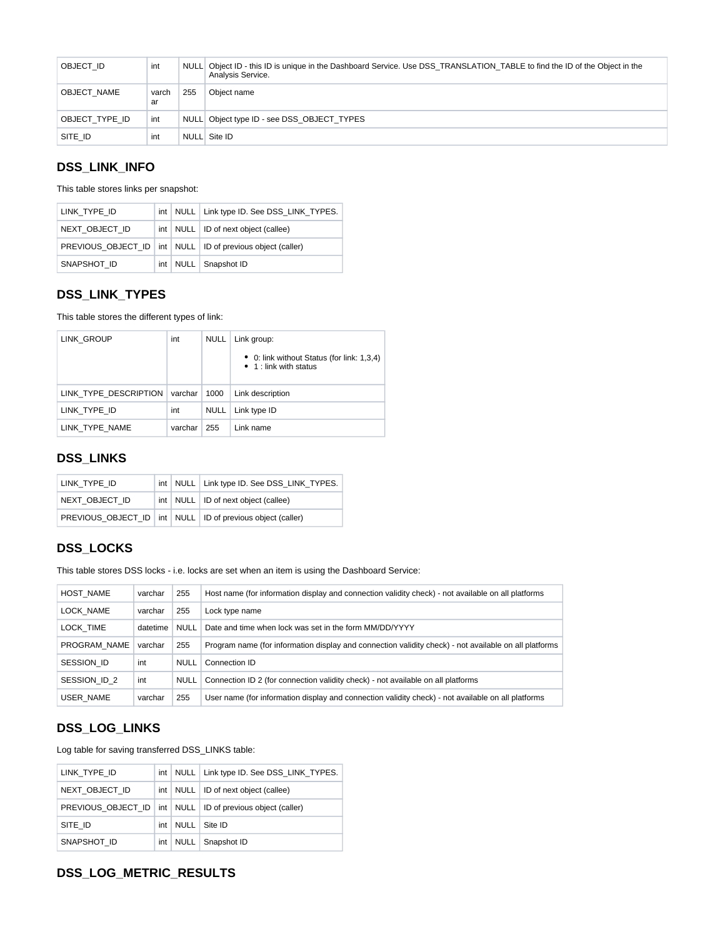| OBJECT ID      | int         |     | NULL Object ID - this ID is unique in the Dashboard Service. Use DSS TRANSLATION TABLE to find the ID of the Object in the<br>Analysis Service. |
|----------------|-------------|-----|-------------------------------------------------------------------------------------------------------------------------------------------------|
| OBJECT NAME    | varch<br>ar | 255 | Obiect name                                                                                                                                     |
| OBJECT TYPE ID | int         |     | NULL Object type ID - see DSS_OBJECT_TYPES                                                                                                      |
| SITE ID        | int         |     | NULL Site ID                                                                                                                                    |

### <span id="page-3-0"></span>**DSS\_LINK\_INFO**

This table stores links per snapshot:

| LINK TYPE ID   |  | int   NULL   Link type ID. See DSS LINK TYPES.                   |
|----------------|--|------------------------------------------------------------------|
| NEXT OBJECT ID |  | int   NULL   ID of next object (callee)                          |
|                |  | PREVIOUS OBJECT ID   int   NULL   ID of previous object (caller) |
| SNAPSHOT ID    |  | int   NULL   Snapshot ID                                         |

# <span id="page-3-1"></span>**DSS\_LINK\_TYPES**

This table stores the different types of link:

| LINK GROUP            | int     | <b>NULL</b> | Link group:                                                          |
|-----------------------|---------|-------------|----------------------------------------------------------------------|
|                       |         |             | • 0: link without Status (for link: 1,3,4)<br>• 1 : link with status |
| LINK TYPE DESCRIPTION | varchar | 1000        | Link description                                                     |
| LINK TYPE ID          | int     | NULL        | Link type ID                                                         |
| LINK TYPE NAME        | varchar | 255         | Link name                                                            |

# <span id="page-3-2"></span>**DSS\_LINKS**

| LINK TYPE ID   |  | int   NULL   Link type ID. See DSS LINK TYPES.                   |
|----------------|--|------------------------------------------------------------------|
| NEXT OBJECT ID |  | int   NULL   ID of next object (callee)                          |
|                |  | PREVIOUS OBJECT ID   int   NULL   ID of previous object (caller) |

# <span id="page-3-3"></span>**DSS\_LOCKS**

This table stores DSS locks - i.e. locks are set when an item is using the Dashboard Service:

| HOST NAME    | varchar  | 255         | Host name (for information display and connection validity check) - not available on all platforms    |
|--------------|----------|-------------|-------------------------------------------------------------------------------------------------------|
| LOCK NAME    | varchar  | 255         | Lock type name                                                                                        |
| LOCK TIME    | datetime | NULL        | Date and time when lock was set in the form MM/DD/YYYY                                                |
| PROGRAM NAME | varchar  | 255         | Program name (for information display and connection validity check) - not available on all platforms |
| SESSION ID   | int      | <b>NULL</b> | Connection ID                                                                                         |
| SESSION ID 2 | int      | <b>NULL</b> | Connection ID 2 (for connection validity check) - not available on all platforms                      |
| USER NAME    | varchar  | 255         | User name (for information display and connection validity check) - not available on all platforms    |

# <span id="page-3-4"></span>**DSS\_LOG\_LINKS**

Log table for saving transferred DSS\_LINKS table:

| LINK TYPE ID   |     | int   NULL   Link type ID. See DSS_LINK_TYPES.                   |
|----------------|-----|------------------------------------------------------------------|
| NEXT OBJECT ID |     | int   NULL   ID of next object (callee)                          |
|                |     | PREVIOUS OBJECT ID   int   NULL   ID of previous object (caller) |
| SITE ID        | int | NULL Site ID                                                     |
| SNAPSHOT ID    |     | int   NULL   Snapshot ID                                         |

# <span id="page-3-5"></span>**DSS\_LOG\_METRIC\_RESULTS**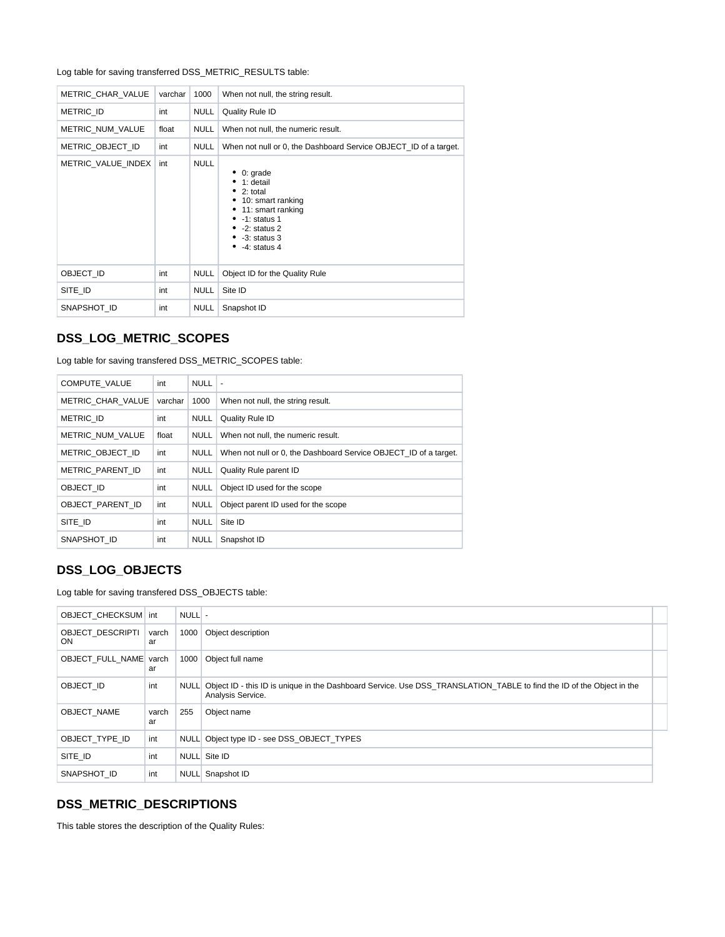Log table for saving transferred DSS\_METRIC\_RESULTS table:

| METRIC CHAR VALUE  | varchar | 1000        | When not null, the string result.                                                                                                                                                               |
|--------------------|---------|-------------|-------------------------------------------------------------------------------------------------------------------------------------------------------------------------------------------------|
| <b>METRIC ID</b>   | int     | <b>NULL</b> | Quality Rule ID                                                                                                                                                                                 |
| METRIC_NUM_VALUE   | float   | <b>NULL</b> | When not null, the numeric result.                                                                                                                                                              |
| METRIC OBJECT ID   | int     | <b>NULL</b> | When not null or 0, the Dashboard Service OBJECT_ID of a target.                                                                                                                                |
| METRIC VALUE INDEX | int     | <b>NULL</b> | 0: grade<br>1: detail<br>$\bullet$ 2: total<br>• 10: smart ranking<br>11: smart ranking<br>$\bullet$ -1: status 1<br>$\bullet$ -2: status 2<br>$\bullet$ -3: status 3<br>$\bullet$ -4: status 4 |
| OBJECT ID          | int     | <b>NULL</b> | Object ID for the Quality Rule                                                                                                                                                                  |
| SITE ID            | int     | <b>NULL</b> | Site ID                                                                                                                                                                                         |
| SNAPSHOT ID        | int     | <b>NULL</b> | Snapshot ID                                                                                                                                                                                     |

### <span id="page-4-0"></span>**DSS\_LOG\_METRIC\_SCOPES**

Log table for saving transfered DSS\_METRIC\_SCOPES table:

| COMPUTE VALUE     | int     | <b>NULL</b> | $\overline{\phantom{a}}$                                         |
|-------------------|---------|-------------|------------------------------------------------------------------|
| METRIC CHAR VALUE | varchar | 1000        | When not null, the string result.                                |
| METRIC ID         | int     | <b>NULL</b> | Quality Rule ID                                                  |
| METRIC NUM VALUE  | float   | <b>NULL</b> | When not null, the numeric result.                               |
| METRIC OBJECT ID  | int     | <b>NULL</b> | When not null or 0, the Dashboard Service OBJECT ID of a target. |
| METRIC PARENT ID  | int     | <b>NULL</b> | Quality Rule parent ID                                           |
| OBJECT ID         | int     | <b>NULL</b> | Object ID used for the scope                                     |
| OBJECT PARENT ID  | int     | <b>NULL</b> | Object parent ID used for the scope                              |
| SITE ID           | int     | <b>NULL</b> | Site ID                                                          |
| SNAPSHOT ID       | int     | <b>NULL</b> | Snapshot ID                                                      |

# <span id="page-4-1"></span>**DSS\_LOG\_OBJECTS**

Log table for saving transfered DSS\_OBJECTS table:

| OBJECT CHECKSUM int           |             | NULLI- |                                                                                                                                            |  |
|-------------------------------|-------------|--------|--------------------------------------------------------------------------------------------------------------------------------------------|--|
| <b>OBJECT DESCRIPTI</b><br>ON | varch<br>ar | 1000   | Object description                                                                                                                         |  |
| OBJECT_FULL_NAME varch        | ar          | 1000   | Object full name                                                                                                                           |  |
| OBJECT ID                     | int         | NULLI  | Object ID - this ID is unique in the Dashboard Service. Use DSS TRANSLATION TABLE to find the ID of the Object in the<br>Analysis Service. |  |
| OBJECT NAME                   | varch<br>ar | 255    | Object name                                                                                                                                |  |
| OBJECT TYPE ID                | int         |        | NULL Object type ID - see DSS OBJECT TYPES                                                                                                 |  |
| SITE ID                       | int         |        | NULL Site ID                                                                                                                               |  |
| SNAPSHOT ID                   | int         |        | NULL Snapshot ID                                                                                                                           |  |

#### <span id="page-4-2"></span>**DSS\_METRIC\_DESCRIPTIONS**

This table stores the description of the Quality Rules: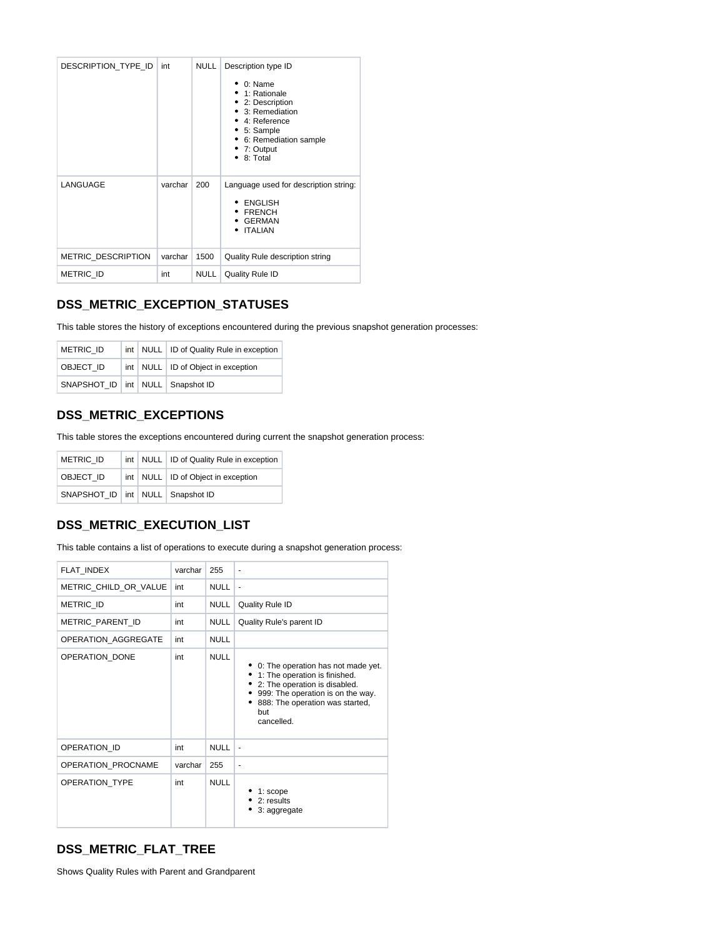| DESCRIPTION TYPE ID       | int     | <b>NULL</b> | Description type ID<br>$0:$ Name<br>1: Rationale<br>2: Description<br>3: Remediation<br>$\bullet$ 4: Reference<br>5: Sample<br>6: Remediation sample<br>7: Output<br>8: Total |
|---------------------------|---------|-------------|-------------------------------------------------------------------------------------------------------------------------------------------------------------------------------|
| LANGUAGE                  | varchar | 200         | Language used for description string:<br><b>ENGLISH</b><br><b>FRENCH</b><br><b>GERMAN</b><br><b>ITALIAN</b><br>٠                                                              |
| <b>METRIC DESCRIPTION</b> | varchar | 1500        | Quality Rule description string                                                                                                                                               |
| <b>METRIC ID</b>          | int     | <b>NULL</b> | <b>Quality Rule ID</b>                                                                                                                                                        |

### <span id="page-5-0"></span>**DSS\_METRIC\_EXCEPTION\_STATUSES**

This table stores the history of exceptions encountered during the previous snapshot generation processes:

| <b>METRIC ID</b>                       |  | int   NULL   ID of Quality Rule in exception |
|----------------------------------------|--|----------------------------------------------|
| OBJECT ID                              |  | int   NULL   ID of Object in exception       |
| SNAPSHOT ID   int   NULL   Snapshot ID |  |                                              |

### <span id="page-5-1"></span>**DSS\_METRIC\_EXCEPTIONS**

This table stores the exceptions encountered during current the snapshot generation process:

| <b>METRIC ID</b>                       |  | int   NULL   ID of Quality Rule in exception |
|----------------------------------------|--|----------------------------------------------|
| OBJECT ID                              |  | int   NULL   ID of Object in exception       |
| SNAPSHOT ID   int   NULL   Snapshot ID |  |                                              |

#### <span id="page-5-2"></span>**DSS\_METRIC\_EXECUTION\_LIST**

This table contains a list of operations to execute during a snapshot generation process:

| FLAT INDEX                | varchar | 255         | ٠                                                                                                                                                                                                      |
|---------------------------|---------|-------------|--------------------------------------------------------------------------------------------------------------------------------------------------------------------------------------------------------|
| METRIC CHILD OR VALUE     | int     | <b>NULL</b> | ÷,                                                                                                                                                                                                     |
| METRIC ID                 | int     | <b>NULL</b> | Quality Rule ID                                                                                                                                                                                        |
| METRIC_PARENT_ID          | int     | <b>NULL</b> | Quality Rule's parent ID                                                                                                                                                                               |
| OPERATION AGGREGATE       | int     | <b>NULL</b> |                                                                                                                                                                                                        |
| OPERATION DONE            | int     | <b>NULL</b> | 0: The operation has not made yet.<br>1: The operation is finished.<br>2: The operation is disabled.<br>999: The operation is on the way.<br>888: The operation was started,<br>٠<br>but<br>cancelled. |
| OPERATION ID              | int     | <b>NULL</b> | $\frac{1}{2}$                                                                                                                                                                                          |
| <b>OPERATION PROCNAME</b> | varchar | 255         | ٠                                                                                                                                                                                                      |
| <b>OPERATION TYPE</b>     | int     | <b>NULL</b> | $1:$ scope<br>2: results<br>3: aggregate                                                                                                                                                               |

# <span id="page-5-3"></span>**DSS\_METRIC\_FLAT\_TREE**

Shows Quality Rules with Parent and Grandparent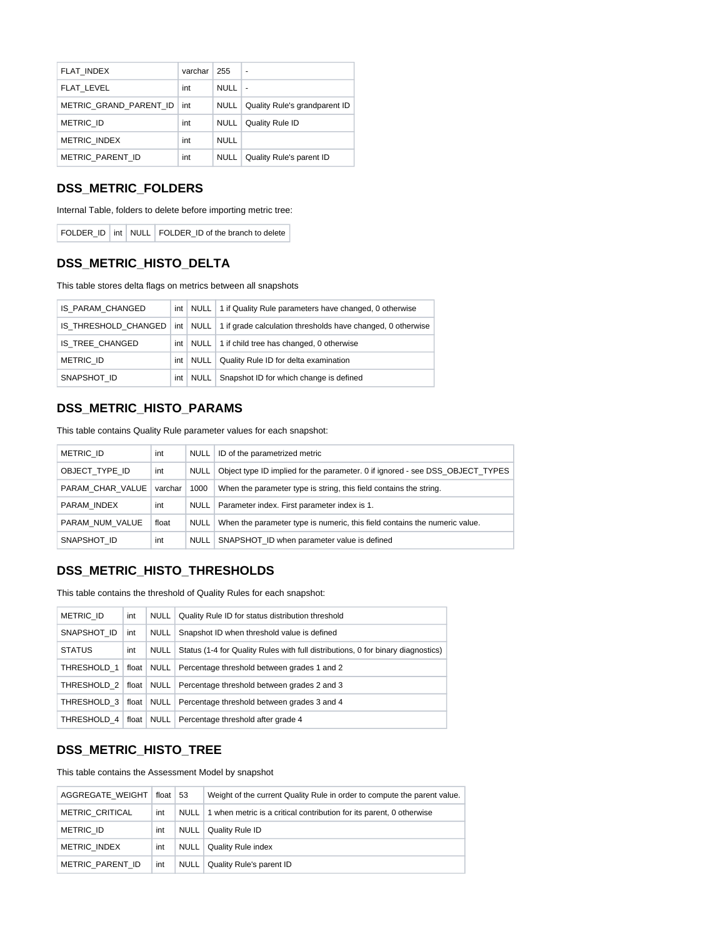| FLAT INDEX             | varchar | 255         | ۰                             |
|------------------------|---------|-------------|-------------------------------|
| FLAT LEVEL             | int     | <b>NULL</b> | ٠                             |
| METRIC GRAND PARENT ID | int     | <b>NULL</b> | Quality Rule's grandparent ID |
| <b>METRIC ID</b>       | int     | <b>NULL</b> | Quality Rule ID               |
| <b>METRIC INDEX</b>    | int     | <b>NULL</b> |                               |
| METRIC PARENT ID       | int     | <b>NULL</b> | Quality Rule's parent ID      |

#### <span id="page-6-0"></span>**DSS\_METRIC\_FOLDERS**

Internal Table, folders to delete before importing metric tree:

FOLDER\_ID | int | NULL | FOLDER\_ID of the branch to delete

# <span id="page-6-1"></span>**DSS\_METRIC\_HISTO\_DELTA**

This table stores delta flags on metrics between all snapshots

| IS PARAM CHANGED |     |      | int   NULL   1 if Quality Rule parameters have changed, 0 otherwise                             |
|------------------|-----|------|-------------------------------------------------------------------------------------------------|
|                  |     |      | IS THRESHOLD CHANGED   int   NULL   1 if grade calculation thresholds have changed, 0 otherwise |
| IS TREE CHANGED  | int |      | NULL   1 if child tree has changed, 0 otherwise                                                 |
| <b>METRIC ID</b> | int | NULL | Quality Rule ID for delta examination                                                           |
| SNAPSHOT ID      | int |      | NULL   Snapshot ID for which change is defined                                                  |

#### <span id="page-6-2"></span>**DSS\_METRIC\_HISTO\_PARAMS**

This table contains Quality Rule parameter values for each snapshot:

| <b>METRIC ID</b> | int     | NULL        | ID of the parametrized metric                                                 |  |  |
|------------------|---------|-------------|-------------------------------------------------------------------------------|--|--|
| OBJECT TYPE ID   | int     | <b>NULL</b> | Object type ID implied for the parameter. 0 if ignored - see DSS OBJECT TYPES |  |  |
| PARAM CHAR VALUE | varchar | 1000        | When the parameter type is string, this field contains the string.            |  |  |
| PARAM INDEX      | int     | NULL        | Parameter index. First parameter index is 1.                                  |  |  |
| PARAM NUM VALUE  | float   | <b>NULL</b> | When the parameter type is numeric, this field contains the numeric value.    |  |  |
| SNAPSHOT ID      | int     | NULL        | SNAPSHOT ID when parameter value is defined                                   |  |  |

#### <span id="page-6-3"></span>**DSS\_METRIC\_HISTO\_THRESHOLDS**

This table contains the threshold of Quality Rules for each snapshot:

| METRIC ID     | int | NULL   Quality Rule ID for status distribution threshold                              |
|---------------|-----|---------------------------------------------------------------------------------------|
| SNAPSHOT ID   | int | NULL   Snapshot ID when threshold value is defined                                    |
| <b>STATUS</b> | int | NULL Status (1-4 for Quality Rules with full distributions, 0 for binary diagnostics) |
| THRESHOLD 1   |     | float   NULL   Percentage threshold between grades 1 and 2                            |
|               |     | THRESHOLD 2   float   NULL   Percentage threshold between grades 2 and 3              |
|               |     | THRESHOLD 3   float   NULL   Percentage threshold between grades 3 and 4              |
|               |     | THRESHOLD 4   float   NULL   Percentage threshold after grade 4                       |

#### <span id="page-6-4"></span>**DSS\_METRIC\_HISTO\_TREE**

This table contains the Assessment Model by snapshot

| AGGREGATE WEIGHT | float $\vert 53 \vert$ |             | Weight of the current Quality Rule in order to compute the parent value. |
|------------------|------------------------|-------------|--------------------------------------------------------------------------|
| METRIC CRITICAL  | int                    | NULL        | 1 when metric is a critical contribution for its parent, 0 otherwise     |
| METRIC ID        | int                    | NULL        | Quality Rule ID                                                          |
| METRIC INDEX     | int                    | <b>NULL</b> | <b>Quality Rule index</b>                                                |
| METRIC PARENT ID | int                    | NULL        | Quality Rule's parent ID                                                 |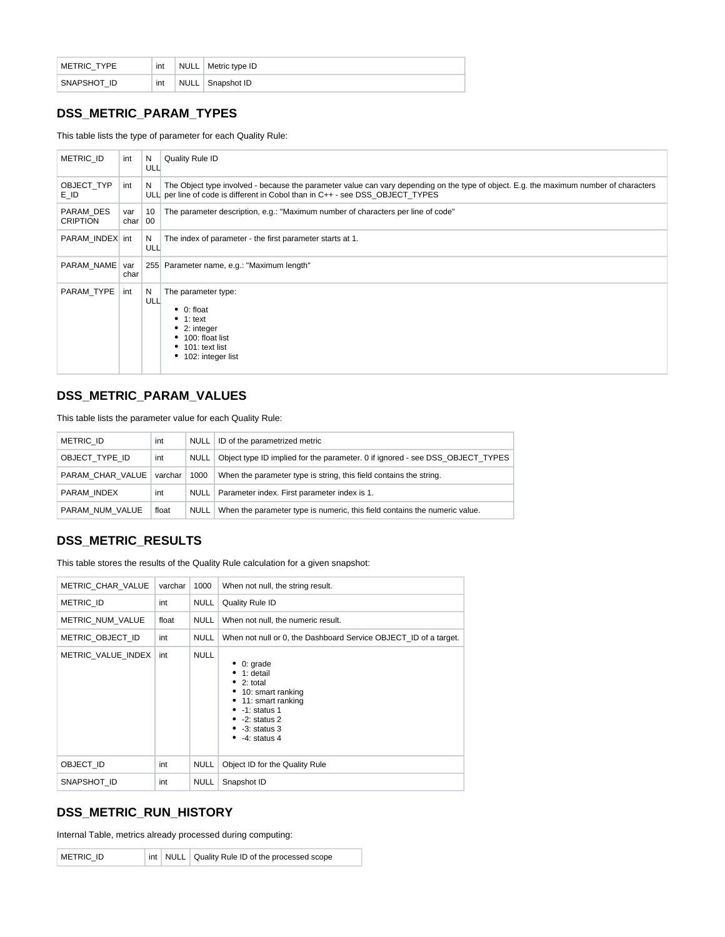| METRIC TYPE | int | <b>NULL</b> | Metric type ID |
|-------------|-----|-------------|----------------|
| SNAPSHOT ID | int | <b>NULL</b> | Snapshot ID    |

#### <span id="page-7-0"></span>**DSS\_METRIC\_PARAM\_TYPES**

This table lists the type of parameter for each Quality Rule:

| <b>METRIC ID</b>             | int         | N<br>ULL | Quality Rule ID                                                                                                                                                                                                         |
|------------------------------|-------------|----------|-------------------------------------------------------------------------------------------------------------------------------------------------------------------------------------------------------------------------|
| OBJECT TYP<br>E ID           | int         | N        | The Object type involved - because the parameter value can vary depending on the type of object. E.g. the maximum number of characters<br>ULL per line of code is different in Cobol than in C++ - see DSS OBJECT TYPES |
| PARAM DES<br><b>CRIPTION</b> | var<br>char | 10<br>00 | The parameter description, e.g.: "Maximum number of characters per line of code"                                                                                                                                        |
| PARAM INDEX int              |             | N<br>ULL | The index of parameter - the first parameter starts at 1.                                                                                                                                                               |
| PARAM NAME                   | var<br>char |          | 255 Parameter name, e.g.: "Maximum length"                                                                                                                                                                              |
| PARAM_TYPE                   | int         | N<br>ULL | The parameter type:<br>$\bullet$ 0: float<br>$\bullet$ 1: text<br>$\bullet$ 2: integer<br>• 100: float list<br>$\bullet$ 101: text list<br>• 102: integer list                                                          |

### <span id="page-7-1"></span>**DSS\_METRIC\_PARAM\_VALUES**

This table lists the parameter value for each Quality Rule:

| <b>METRIC ID</b>           | int   | NULL | ID of the parametrized metric                                                 |
|----------------------------|-------|------|-------------------------------------------------------------------------------|
| OBJECT TYPE ID             | int   | NULL | Object type ID implied for the parameter. 0 if ignored - see DSS_OBJECT_TYPES |
| PARAM CHAR VALUE   varchar |       | 1000 | When the parameter type is string, this field contains the string.            |
| PARAM INDEX                | int   | NULL | Parameter index. First parameter index is 1.                                  |
| PARAM NUM VALUE            | float | NULL | When the parameter type is numeric, this field contains the numeric value.    |

### <span id="page-7-2"></span>**DSS\_METRIC\_RESULTS**

This table stores the results of the Quality Rule calculation for a given snapshot:

| <b>METRIC CHAR VALUE</b> | varchar | 1000        | When not null, the string result.                                                                                                                                                                              |
|--------------------------|---------|-------------|----------------------------------------------------------------------------------------------------------------------------------------------------------------------------------------------------------------|
| METRIC ID                | int     | NULL        | Quality Rule ID                                                                                                                                                                                                |
| METRIC NUM VALUE         | float   | <b>NULL</b> | When not null, the numeric result.                                                                                                                                                                             |
| METRIC OBJECT ID         | int     | <b>NULL</b> | When not null or 0, the Dashboard Service OBJECT ID of a target.                                                                                                                                               |
| METRIC VALUE INDEX       | int     | <b>NULL</b> | $\bullet$ 0: grade<br>$\bullet$ 1: detail<br>$\bullet$ 2: total<br>• 10: smart ranking<br>• 11: smart ranking<br>$\bullet$ -1: status 1<br>$\bullet$ -2: status 2<br>$\bullet$ -3: status 3<br>$-4$ : status 4 |
| OBJECT ID                | int     | <b>NULL</b> | Object ID for the Quality Rule                                                                                                                                                                                 |
| SNAPSHOT ID              | int     | <b>NULL</b> | Snapshot ID                                                                                                                                                                                                    |

# <span id="page-7-3"></span>**DSS\_METRIC\_RUN\_HISTORY**

Internal Table, metrics already processed during computing: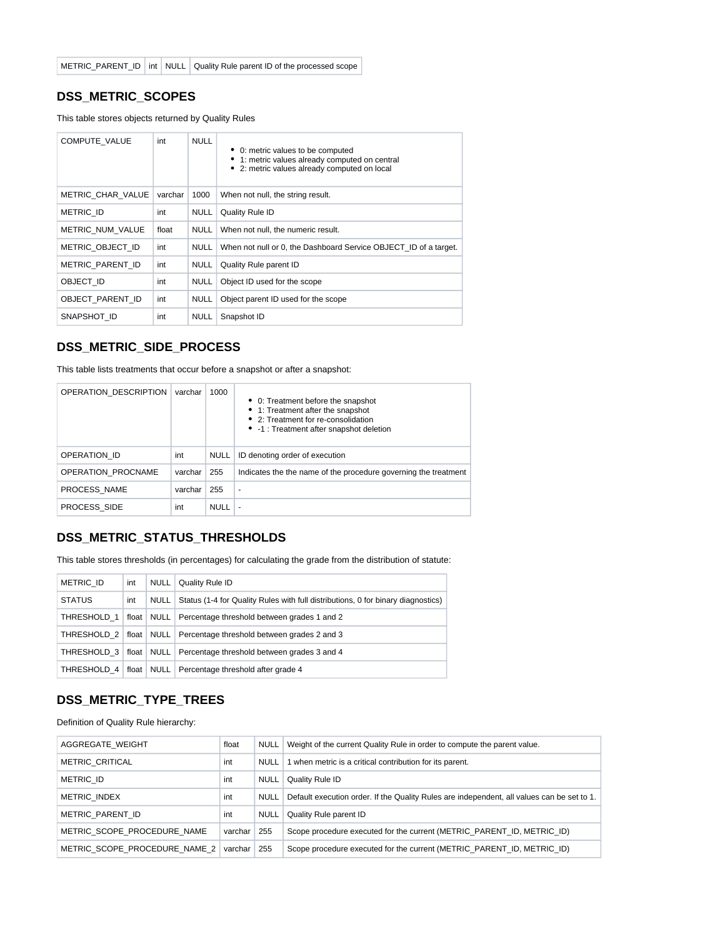#### <span id="page-8-0"></span>**DSS\_METRIC\_SCOPES**

This table stores objects returned by Quality Rules

| COMPUTE VALUE     | int     | <b>NULL</b> | 0: metric values to be computed<br>• 1: metric values already computed on central<br>2: metric values already computed on local |
|-------------------|---------|-------------|---------------------------------------------------------------------------------------------------------------------------------|
| METRIC CHAR VALUE | varchar | 1000        | When not null, the string result.                                                                                               |
| METRIC ID         | int     | <b>NULL</b> | Quality Rule ID                                                                                                                 |
| METRIC NUM VALUE  | float   | <b>NULL</b> | When not null, the numeric result.                                                                                              |
| METRIC_OBJECT ID  | int     | <b>NULL</b> | When not null or 0, the Dashboard Service OBJECT ID of a target.                                                                |
| METRIC_PARENT ID  | int     | <b>NULL</b> | Quality Rule parent ID                                                                                                          |
| OBJECT ID         | int     | <b>NULL</b> | Object ID used for the scope                                                                                                    |
| OBJECT PARENT ID  | int     | <b>NULL</b> | Object parent ID used for the scope                                                                                             |
| SNAPSHOT ID       | int     | <b>NULL</b> | Snapshot ID                                                                                                                     |

#### <span id="page-8-1"></span>**DSS\_METRIC\_SIDE\_PROCESS**

This table lists treatments that occur before a snapshot or after a snapshot:

| OPERATION DESCRIPTION | varchar | 1000        | • 0: Treatment before the snapshot<br>• 1: Treatment after the snapshot<br>• 2: Treatment for re-consolidation<br>• -1 : Treatment after snapshot deletion |
|-----------------------|---------|-------------|------------------------------------------------------------------------------------------------------------------------------------------------------------|
| OPERATION ID          | int     | <b>NULL</b> | ID denoting order of execution                                                                                                                             |
| OPERATION PROCNAME    | varchar | 255         | Indicates the the name of the procedure governing the treatment                                                                                            |
| PROCESS NAME          | varchar | 255         | ۰                                                                                                                                                          |
| PROCESS SIDE          | int     | NULL        |                                                                                                                                                            |

#### <span id="page-8-2"></span>**DSS\_METRIC\_STATUS\_THRESHOLDS**

This table stores thresholds (in percentages) for calculating the grade from the distribution of statute:

| <b>METRIC ID</b>           | int | <b>NULL</b> | Quality Rule ID                                                                  |
|----------------------------|-----|-------------|----------------------------------------------------------------------------------|
| <b>STATUS</b>              | int | <b>NULL</b> | Status (1-4 for Quality Rules with full distributions, 0 for binary diagnostics) |
| THRESHOLD 1                |     |             | float   NULL   Percentage threshold between grades 1 and 2                       |
|                            |     |             | THRESHOLD 2   float NULL   Percentage threshold between grades 2 and 3           |
| THRESHOLD 3   float   NULL |     |             | Percentage threshold between grades 3 and 4                                      |
|                            |     |             | THRESHOLD 4   float   NULL   Percentage threshold after grade 4                  |

#### <span id="page-8-3"></span>**DSS\_METRIC\_TYPE\_TREES**

Definition of Quality Rule hierarchy:

<span id="page-8-4"></span>

| AGGREGATE WEIGHT              | float     | NULL        | Weight of the current Quality Rule in order to compute the parent value.                   |
|-------------------------------|-----------|-------------|--------------------------------------------------------------------------------------------|
| <b>METRIC CRITICAL</b>        | int       | NULL        | 1 when metric is a critical contribution for its parent.                                   |
| METRIC ID                     | int       | <b>NULL</b> | Quality Rule ID                                                                            |
| METRIC INDEX                  | int       | <b>NULL</b> | Default execution order. If the Quality Rules are independent, all values can be set to 1. |
| METRIC PARENT ID              | int       | <b>NULL</b> | Quality Rule parent ID                                                                     |
| METRIC SCOPE PROCEDURE NAME   | varchar   | 255         | Scope procedure executed for the current (METRIC PARENT ID, METRIC ID)                     |
| METRIC SCOPE PROCEDURE NAME 2 | varchar I | 255         | Scope procedure executed for the current (METRIC PARENT ID, METRIC ID)                     |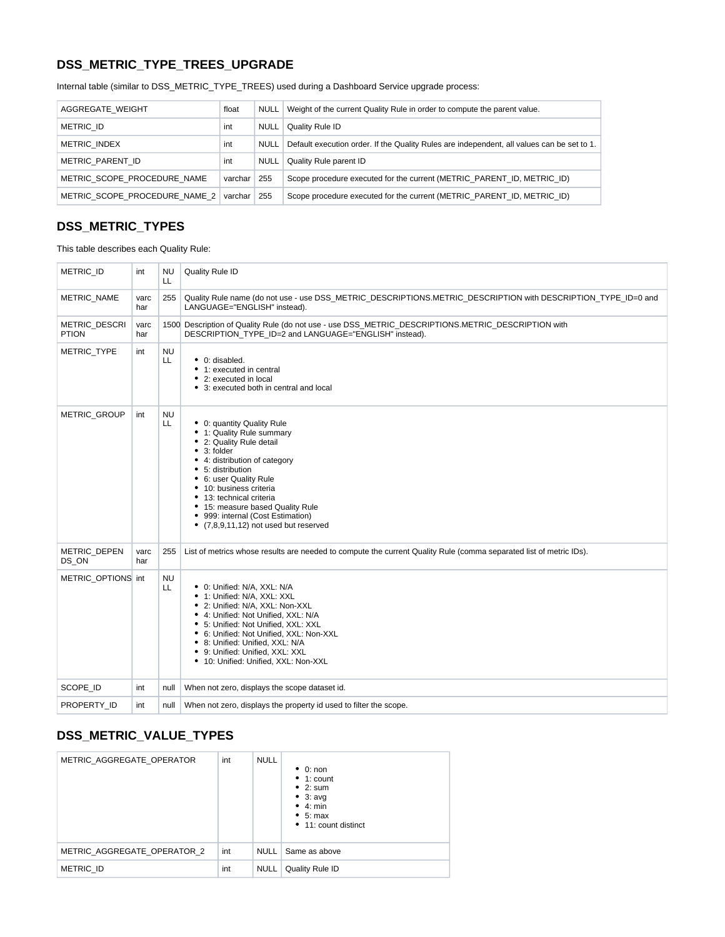# **DSS\_METRIC\_TYPE\_TREES\_UPGRADE**

Internal table (similar to DSS\_METRIC\_TYPE\_TREES) used during a Dashboard Service upgrade process:

| AGGREGATE WEIGHT              | float         | <b>NULL</b> | Weight of the current Quality Rule in order to compute the parent value.                   |
|-------------------------------|---------------|-------------|--------------------------------------------------------------------------------------------|
| <b>METRIC ID</b>              | int           | <b>NULL</b> | Quality Rule ID                                                                            |
| <b>METRIC INDEX</b>           | int           | NULL        | Default execution order. If the Quality Rules are independent, all values can be set to 1. |
| METRIC PARENT ID              | int           | <b>NULL</b> | Quality Rule parent ID                                                                     |
| METRIC SCOPE PROCEDURE NAME   | varchar       | 255         | Scope procedure executed for the current (METRIC PARENT ID, METRIC ID)                     |
| METRIC SCOPE PROCEDURE NAME 2 | varchar   255 |             | Scope procedure executed for the current (METRIC PARENT ID, METRIC ID)                     |

### <span id="page-9-0"></span>**DSS\_METRIC\_TYPES**

This table describes each Quality Rule:

| <b>METRIC ID</b>              | int         | <b>NU</b><br>LL  | Quality Rule ID                                                                                                                                                                                                                                                                                                                                               |
|-------------------------------|-------------|------------------|---------------------------------------------------------------------------------------------------------------------------------------------------------------------------------------------------------------------------------------------------------------------------------------------------------------------------------------------------------------|
| <b>METRIC NAME</b>            | varc<br>har | 255              | Quality Rule name (do not use - use DSS_METRIC_DESCRIPTIONS.METRIC_DESCRIPTION with DESCRIPTION_TYPE_ID=0 and<br>LANGUAGE="ENGLISH" instead).                                                                                                                                                                                                                 |
| METRIC_DESCRI<br><b>PTION</b> | varc<br>har |                  | 1500 Description of Quality Rule (do not use - use DSS_METRIC_DESCRIPTIONS.METRIC_DESCRIPTION with<br>DESCRIPTION TYPE ID=2 and LANGUAGE="ENGLISH" instead).                                                                                                                                                                                                  |
| <b>METRIC TYPE</b>            | int         | <b>NU</b><br>LL  | • 0: disabled.<br>• 1: executed in central<br>• 2: executed in local<br>• 3: executed both in central and local                                                                                                                                                                                                                                               |
| METRIC_GROUP                  | int         | <b>NU</b><br>LL  | • 0: quantity Quality Rule<br>• 1: Quality Rule summary<br>• 2: Quality Rule detail<br>$• 3:$ folder<br>• 4: distribution of category<br>• 5: distribution<br>• 6: user Quality Rule<br>• 10: business criteria<br>• 13: technical criteria<br>• 15: measure based Quality Rule<br>• 999: internal (Cost Estimation)<br>• (7,8,9,11,12) not used but reserved |
| <b>METRIC DEPEN</b><br>DS ON  | varc<br>har | 255              | List of metrics whose results are needed to compute the current Quality Rule (comma separated list of metric IDs).                                                                                                                                                                                                                                            |
| METRIC OPTIONS int            |             | <b>NU</b><br>LL. | • 0: Unified: N/A, XXL: N/A<br>• 1: Unified: N/A, XXL: XXL<br>• 2: Unified: N/A, XXL: Non-XXL<br>• 4: Unified: Not Unified, XXL: N/A<br>• 5: Unified: Not Unified, XXL: XXL<br>• 6: Unified: Not Unified, XXL: Non-XXL<br>• 8: Unified: Unified. XXL: N/A<br>• 9: Unified: Unified, XXL: XXL<br>• 10: Unified: Unified, XXL: Non-XXL                          |
| SCOPE ID                      | int         | null             | When not zero, displays the scope dataset id.                                                                                                                                                                                                                                                                                                                 |
| PROPERTY ID                   | int         | null             | When not zero, displays the property id used to filter the scope.                                                                                                                                                                                                                                                                                             |

### <span id="page-9-1"></span>**DSS\_METRIC\_VALUE\_TYPES**

| METRIC AGGREGATE OPERATOR   | int | <b>NULL</b> | $\bullet$ 0: non<br>$\bullet$ 1: count<br>$\bullet$ 2: sum<br>$\bullet$ 3: avg<br>$\bullet$ 4: min<br>• 5: max<br>• 11: count distinct |
|-----------------------------|-----|-------------|----------------------------------------------------------------------------------------------------------------------------------------|
| METRIC AGGREGATE OPERATOR 2 | int | NULL        | Same as above                                                                                                                          |
| <b>METRIC ID</b>            | int | NULL        | Quality Rule ID                                                                                                                        |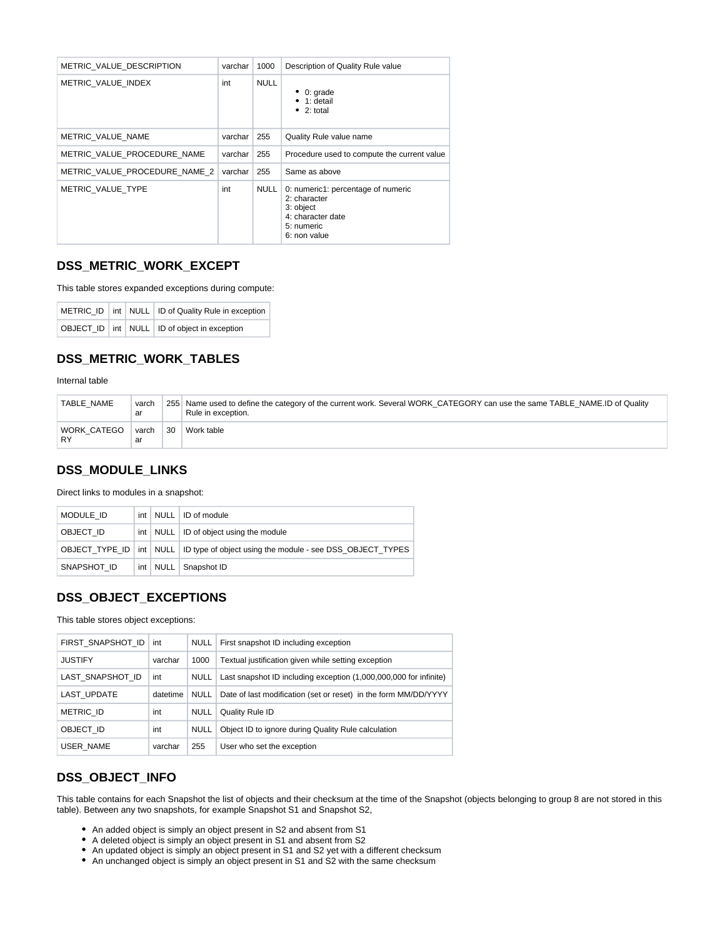| METRIC VALUE DESCRIPTION      | varchar | 1000        | Description of Quality Rule value                                                                                  |
|-------------------------------|---------|-------------|--------------------------------------------------------------------------------------------------------------------|
| METRIC VALUE INDEX            | int     | <b>NULL</b> | $\bullet$ 0: grade<br>$\bullet$ 1: detail<br>$\bullet$ 2: total                                                    |
| METRIC VALUE NAME             | varchar | 255         | Quality Rule value name                                                                                            |
| METRIC VALUE PROCEDURE NAME   | varchar | 255         | Procedure used to compute the current value                                                                        |
| METRIC VALUE PROCEDURE NAME 2 | varchar | 255         | Same as above                                                                                                      |
| METRIC VALUE TYPE             | int     | <b>NULL</b> | 0: numeric1: percentage of numeric<br>2: character<br>3: object<br>4: character date<br>5: numeric<br>6: non value |

#### <span id="page-10-0"></span>**DSS\_METRIC\_WORK\_EXCEPT**

This table stores expanded exceptions during compute:

|  | METRIC_ID   int   NULL   ID of Quality Rule in exception |
|--|----------------------------------------------------------|
|  | OBJECT ID   int   NULL   ID of object in exception       |

### <span id="page-10-1"></span>**DSS\_METRIC\_WORK\_TABLES**

Internal table

| TABLE NAME        | varch<br>ar |    | 255 Name used to define the category of the current work. Several WORK_CATEGORY can use the same TABLE NAME.ID of Quality<br>Rule in exception. |
|-------------------|-------------|----|-------------------------------------------------------------------------------------------------------------------------------------------------|
| WORK CATEGO<br>RY | varch<br>ar | 30 | Work table                                                                                                                                      |

#### <span id="page-10-2"></span>**DSS\_MODULE\_LINKS**

Direct links to modules in a snapshot:

| MODULE ID   |  | int   NULL   ID of module                                                               |  |  |  |
|-------------|--|-----------------------------------------------------------------------------------------|--|--|--|
| OBJECT ID   |  | int   NULL   ID of object using the module                                              |  |  |  |
|             |  | OBJECT_TYPE_ID   int   NULL   ID type of object using the module - see DSS_OBJECT_TYPES |  |  |  |
| SNAPSHOT ID |  | int   NULL   Snapshot ID                                                                |  |  |  |

#### <span id="page-10-3"></span>**DSS\_OBJECT\_EXCEPTIONS**

This table stores object exceptions:

| FIRST SNAPSHOT ID | int      | <b>NULL</b> | First snapshot ID including exception                             |
|-------------------|----------|-------------|-------------------------------------------------------------------|
| <b>JUSTIFY</b>    | varchar  | 1000        | Textual justification given while setting exception               |
| LAST SNAPSHOT ID  | int      | <b>NULL</b> | Last snapshot ID including exception (1,000,000,000 for infinite) |
| LAST UPDATE       | datetime | <b>NULL</b> | Date of last modification (set or reset) in the form MM/DD/YYYY   |
| <b>METRIC ID</b>  | int      | <b>NULL</b> | Quality Rule ID                                                   |
| OBJECT ID         | int      | <b>NULL</b> | Object ID to ignore during Quality Rule calculation               |
| USER NAME         | varchar  | 255         | User who set the exception                                        |
|                   |          |             |                                                                   |

#### <span id="page-10-4"></span>**DSS\_OBJECT\_INFO**

This table contains for each Snapshot the list of objects and their checksum at the time of the Snapshot (objects belonging to group 8 are not stored in this table). Between any two snapshots, for example Snapshot S1 and Snapshot S2,

- An added object is simply an object present in S2 and absent from S1
- A deleted object is simply an object present in S1 and absent from S2
- An updated object is simply an object present in S1 and S2 yet with a different checksum
- An unchanged object is simply an object present in S1 and S2 with the same checksum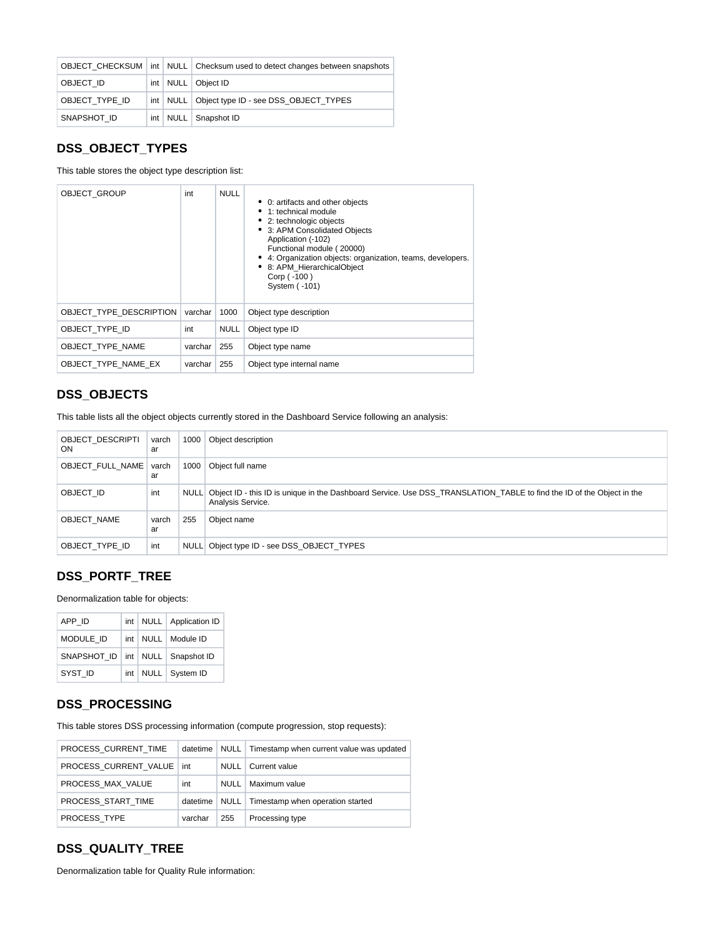|                |  | OBJECT CHECKSUM int NULL Checksum used to detect changes between snapshots |
|----------------|--|----------------------------------------------------------------------------|
| OBJECT ID      |  | int   NULL   Object ID                                                     |
| OBJECT TYPE ID |  | int   NULL   Object type ID - see DSS_OBJECT_TYPES                         |
| SNAPSHOT ID    |  | int   NULL   Snapshot ID                                                   |

#### <span id="page-11-0"></span>**DSS\_OBJECT\_TYPES**

This table stores the object type description list:

| <b>OBJECT GROUP</b>     | int     | <b>NULL</b> | • 0: artifacts and other objects<br>1: technical module<br>• 2: technologic objects<br>3: APM Consolidated Objects<br>٠<br>Application (-102)<br>Functional module (20000)<br>• 4: Organization objects: organization, teams, developers.<br>8: APM_HierarchicalObject<br>Corp (-100)<br>System (-101) |
|-------------------------|---------|-------------|--------------------------------------------------------------------------------------------------------------------------------------------------------------------------------------------------------------------------------------------------------------------------------------------------------|
| OBJECT TYPE DESCRIPTION | varchar | 1000        | Object type description                                                                                                                                                                                                                                                                                |
| OBJECT TYPE ID          | int     | <b>NULL</b> | Object type ID                                                                                                                                                                                                                                                                                         |
| OBJECT TYPE NAME        | varchar | 255         | Object type name                                                                                                                                                                                                                                                                                       |
| OBJECT TYPE NAME EX     | varchar | 255         | Object type internal name                                                                                                                                                                                                                                                                              |

### <span id="page-11-1"></span>**DSS\_OBJECTS**

This table lists all the object objects currently stored in the Dashboard Service following an analysis:

| <b>OBJECT DESCRIPTI</b><br><b>ON</b> | varch<br>ar | 1000        | Object description                                                                                                                         |
|--------------------------------------|-------------|-------------|--------------------------------------------------------------------------------------------------------------------------------------------|
| OBJECT FULL NAME                     | varch<br>ar | 1000        | Object full name                                                                                                                           |
| OBJECT ID                            | int         | <b>NULL</b> | Object ID - this ID is unique in the Dashboard Service. Use DSS TRANSLATION TABLE to find the ID of the Object in the<br>Analysis Service. |
| OBJECT NAME                          | varch<br>ar | 255         | Object name                                                                                                                                |
| OBJECT TYPE ID                       | int         | <b>NULL</b> | Object type ID - see DSS OBJECT TYPES                                                                                                      |

# <span id="page-11-2"></span>**DSS\_PORTF\_TREE**

Denormalization table for objects:

| APP ID                                 |  | int   NULL   Application ID |
|----------------------------------------|--|-----------------------------|
| <b>MODULE ID</b>                       |  | int   NULL   Module ID      |
| SNAPSHOT ID   int   NULL   Snapshot ID |  |                             |
| SYST ID                                |  | int   NULL   System ID      |

# <span id="page-11-3"></span>**DSS\_PROCESSING**

This table stores DSS processing information (compute progression, stop requests):

| PROCESS CURRENT TIME        | datetime |             | NULL   Timestamp when current value was updated |
|-----------------------------|----------|-------------|-------------------------------------------------|
| PROCESS CURRENT VALUE   int |          | NULL        | Current value                                   |
| PROCESS MAX VALUE           | int      | <b>NULL</b> | Maximum value                                   |
| PROCESS START TIME          | datetime |             | NULL   Timestamp when operation started         |
| PROCESS TYPE                | varchar  | 255         | Processing type                                 |

# <span id="page-11-4"></span>**DSS\_QUALITY\_TREE**

Denormalization table for Quality Rule information: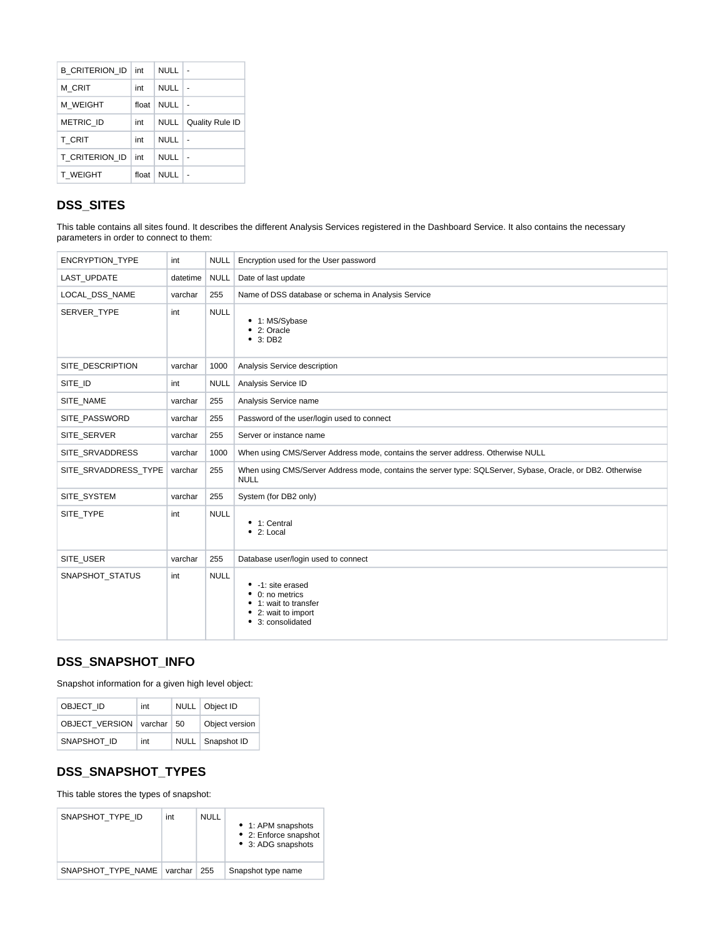| B CRITERION ID   | int   | <b>NULL</b> |                 |
|------------------|-------|-------------|-----------------|
| M CRIT           | int   | NULL        |                 |
| M WEIGHT         | float | <b>NULL</b> |                 |
| <b>METRIC ID</b> | int   | <b>NULL</b> | Quality Rule ID |
| <b>T CRIT</b>    | int   | NULL        |                 |
| T CRITERION ID   | int   | NULL        |                 |
| <b>T WEIGHT</b>  | float | <b>NULL</b> |                 |

# <span id="page-12-0"></span>**DSS\_SITES**

This table contains all sites found. It describes the different Analysis Services registered in the Dashboard Service. It also contains the necessary parameters in order to connect to them:

| ENCRYPTION_TYPE      | int      | NULL        | Encryption used for the User password                                                                                     |
|----------------------|----------|-------------|---------------------------------------------------------------------------------------------------------------------------|
| LAST UPDATE          | datetime | <b>NULL</b> | Date of last update                                                                                                       |
| LOCAL_DSS_NAME       | varchar  | 255         | Name of DSS database or schema in Analysis Service                                                                        |
| SERVER TYPE          | int      | <b>NULL</b> | • 1: MS/Sybase<br>• 2: Oracle<br>• 3: DB2                                                                                 |
| SITE DESCRIPTION     | varchar  | 1000        | Analysis Service description                                                                                              |
| SITE_ID              | int      | <b>NULL</b> | Analysis Service ID                                                                                                       |
| SITE NAME            | varchar  | 255         | Analysis Service name                                                                                                     |
| SITE PASSWORD        | varchar  | 255         | Password of the user/login used to connect                                                                                |
| SITE SERVER          | varchar  | 255         | Server or instance name                                                                                                   |
| SITE_SRVADDRESS      | varchar  | 1000        | When using CMS/Server Address mode, contains the server address. Otherwise NULL                                           |
| SITE_SRVADDRESS_TYPE | varchar  | 255         | When using CMS/Server Address mode, contains the server type: SQLServer, Sybase, Oracle, or DB2. Otherwise<br><b>NULL</b> |
| SITE SYSTEM          | varchar  | 255         | System (for DB2 only)                                                                                                     |
| SITE TYPE            | int      | <b>NULL</b> | • 1: Central<br>• 2: Local                                                                                                |
| SITE_USER            | varchar  | 255         | Database user/login used to connect                                                                                       |
| SNAPSHOT_STATUS      | int      | <b>NULL</b> | • -1: site erased<br>$\bullet$ 0: no metrics<br>1: wait to transfer<br>2: wait to import<br>٠<br>3: consolidated<br>٠     |

# <span id="page-12-1"></span>**DSS\_SNAPSHOT\_INFO**

Snapshot information for a given high level object:

| OBJECT ID             | int                | NULL   Object ID   |
|-----------------------|--------------------|--------------------|
| <b>OBJECT VERSION</b> | varchar $\vert 50$ | Object version     |
| SNAPSHOT ID           | int                | NULL   Snapshot ID |

#### <span id="page-12-2"></span>**DSS\_SNAPSHOT\_TYPES**

This table stores the types of snapshot:

<span id="page-12-3"></span>

| SNAPSHOT TYPE ID   | int     | <b>NULL</b> | • 1: APM snapshots<br>• 2: Enforce snapshot<br>• 3: ADG snapshots |
|--------------------|---------|-------------|-------------------------------------------------------------------|
| SNAPSHOT TYPE NAME | varchar | 255         | Snapshot type name                                                |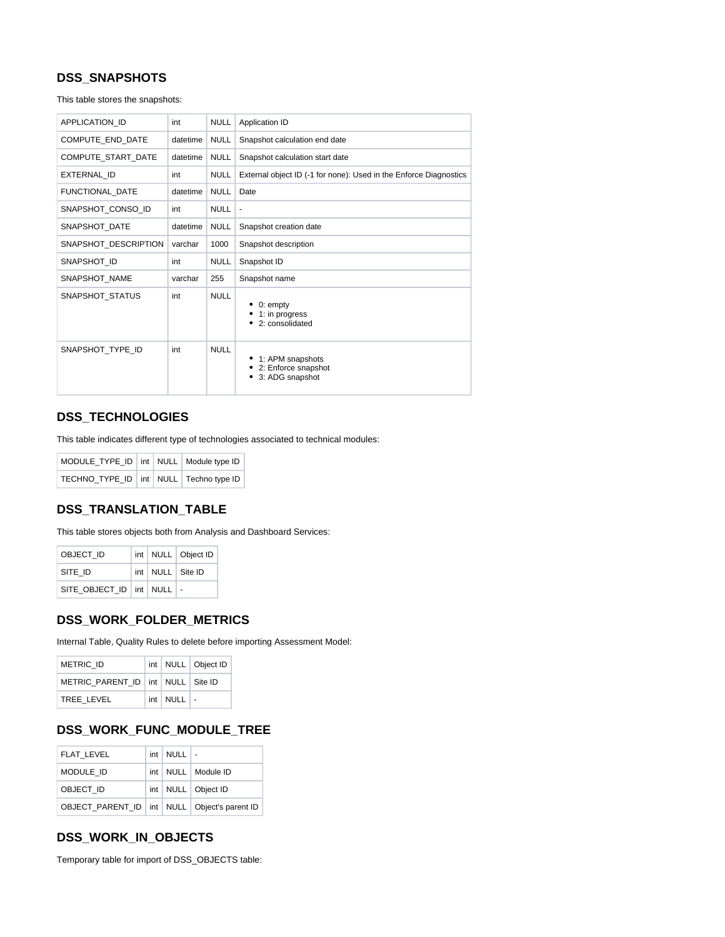# **DSS\_SNAPSHOTS**

This table stores the snapshots:

| <b>APPLICATION ID</b> | int      | <b>NULL</b> | Application ID                                                    |  |  |
|-----------------------|----------|-------------|-------------------------------------------------------------------|--|--|
| COMPUTE END DATE      | datetime | <b>NULL</b> | Snapshot calculation end date                                     |  |  |
| COMPUTE START DATE    | datetime | <b>NULL</b> | Snapshot calculation start date                                   |  |  |
| EXTERNAL ID           | int      | <b>NULL</b> | External object ID (-1 for none): Used in the Enforce Diagnostics |  |  |
| FUNCTIONAL DATE       | datetime | <b>NULL</b> | Date                                                              |  |  |
| SNAPSHOT CONSO ID     | int      | <b>NULL</b> | $\overline{\phantom{a}}$                                          |  |  |
| SNAPSHOT DATE         | datetime | <b>NULL</b> | Snapshot creation date                                            |  |  |
| SNAPSHOT_DESCRIPTION  | varchar  | 1000        | Snapshot description                                              |  |  |
| SNAPSHOT ID           | int      | <b>NULL</b> | Snapshot ID                                                       |  |  |
| SNAPSHOT NAME         | varchar  | 255         | Snapshot name                                                     |  |  |
| SNAPSHOT_STATUS       | int      | <b>NULL</b> | 0: empty<br>1: in progress<br>2: consolidated                     |  |  |
| SNAPSHOT TYPE ID      | int      | <b>NULL</b> | • 1: APM snapshots<br>2: Enforce snapshot<br>3: ADG snapshot      |  |  |

### <span id="page-13-0"></span>**DSS\_TECHNOLOGIES**

This table indicates different type of technologies associated to technical modules:

| MODULE_TYPE_ID   int   NULL   Module type ID |  |  |
|----------------------------------------------|--|--|
| TECHNO TYPE ID   int   NULL   Techno type ID |  |  |

#### <span id="page-13-1"></span>**DSS\_TRANSLATION\_TABLE**

This table stores objects both from Analysis and Dashboard Services:

| OBJECT ID                       |  | int   NULL   Object ID |
|---------------------------------|--|------------------------|
| SITE ID                         |  | int   NULL   Site ID   |
| SITE OBJECT ID   int   NULL   - |  |                        |

#### <span id="page-13-2"></span>**DSS\_WORK\_FOLDER\_METRICS**

Internal Table, Quality Rules to delete before importing Assessment Model:

| <b>METRIC ID</b>                        |                      | int   NULL   Object ID |
|-----------------------------------------|----------------------|------------------------|
| METRIC PARENT ID   int   NULL   Site ID |                      |                        |
| TREE LEVEL                              | $int$ NULL $\vert$ - |                        |

# <span id="page-13-3"></span>**DSS\_WORK\_FUNC\_MODULE\_TREE**

| <b>FLAT LEVEL</b>                                  | $int$ NULL $\vert$ - |                        |
|----------------------------------------------------|----------------------|------------------------|
| MODULE ID                                          |                      | int   NULL   Module ID |
| OBJECT ID                                          |                      | int   NULL   Object ID |
| OBJECT PARENT ID   int   NULL   Object's parent ID |                      |                        |

#### <span id="page-13-4"></span>**DSS\_WORK\_IN\_OBJECTS**

Temporary table for import of DSS\_OBJECTS table: